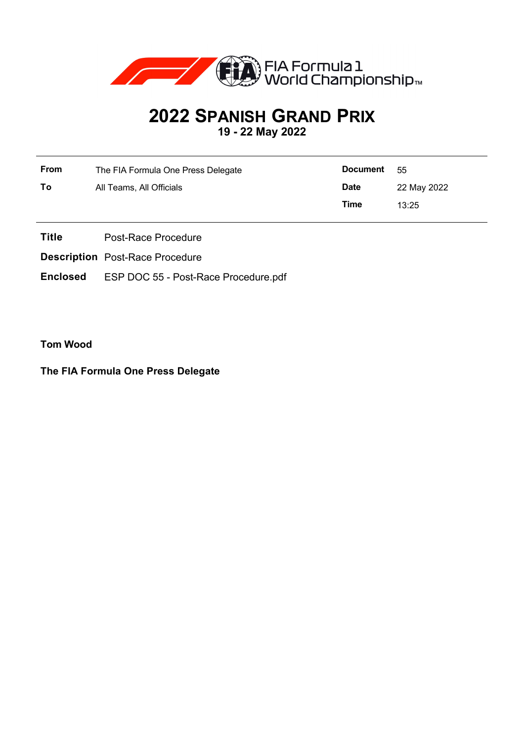

# **2022 SPANISH GRAND PRIX**

**19 - 22 May 2022**

| From | The FIA Formula One Press Delegate | <b>Document</b> | - 55        |
|------|------------------------------------|-----------------|-------------|
| To   | All Teams, All Officials           | <b>Date</b>     | 22 May 2022 |
|      |                                    | Time            | 13:25       |

- **Title** Post-Race Procedure
- **Description** Post-Race Procedure
- **Enclosed** ESP DOC 55 Post-Race Procedure.pdf

**Tom Wood**

**The FIA Formula One Press Delegate**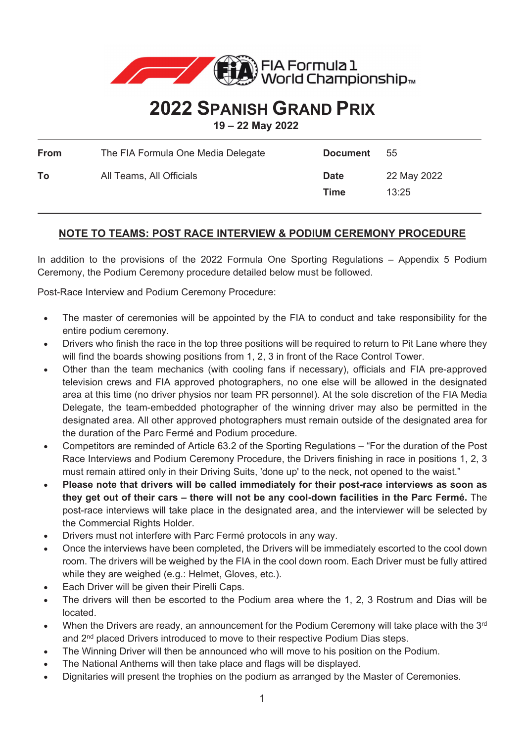

## **2022 SPANISH GRAND PRIX**

**19 – 22 May 2022** 

| From | The FIA Formula One Media Delegate | <b>Document</b>     | 55                   |
|------|------------------------------------|---------------------|----------------------|
| To   | All Teams, All Officials           | <b>Date</b><br>Time | 22 May 2022<br>13:25 |

### **NOTE TO TEAMS: POST RACE INTERVIEW & PODIUM CEREMONY PROCEDURE**

In addition to the provisions of the 2022 Formula One Sporting Regulations – Appendix 5 Podium Ceremony, the Podium Ceremony procedure detailed below must be followed.

Post-Race Interview and Podium Ceremony Procedure:

- The master of ceremonies will be appointed by the FIA to conduct and take responsibility for the entire podium ceremony.
- Drivers who finish the race in the top three positions will be required to return to Pit Lane where they will find the boards showing positions from 1, 2, 3 in front of the Race Control Tower.
- Other than the team mechanics (with cooling fans if necessary), officials and FIA pre-approved television crews and FIA approved photographers, no one else will be allowed in the designated area at this time (no driver physios nor team PR personnel). At the sole discretion of the FIA Media Delegate, the team-embedded photographer of the winning driver may also be permitted in the designated area. All other approved photographers must remain outside of the designated area for the duration of the Parc Fermé and Podium procedure.
- x Competitors are reminded of Article 63.2 of the Sporting Regulations "For the duration of the Post Race Interviews and Podium Ceremony Procedure, the Drivers finishing in race in positions 1, 2, 3 must remain attired only in their Driving Suits, 'done up' to the neck, not opened to the waist."
- x **Please note that drivers will be called immediately for their post-race interviews as soon as they get out of their cars – there will not be any cool-down facilities in the Parc Fermé.** The post-race interviews will take place in the designated area, and the interviewer will be selected by the Commercial Rights Holder.
- Drivers must not interfere with Parc Fermé protocols in any way.
- Once the interviews have been completed, the Drivers will be immediately escorted to the cool down room. The drivers will be weighed by the FIA in the cool down room. Each Driver must be fully attired while they are weighed (e.g.: Helmet, Gloves, etc.).
- Each Driver will be given their Pirelli Caps.
- The drivers will then be escorted to the Podium area where the 1, 2, 3 Rostrum and Dias will be located.
- When the Drivers are ready, an announcement for the Podium Ceremony will take place with the  $3<sup>rd</sup>$ and 2nd placed Drivers introduced to move to their respective Podium Dias steps.
- The Winning Driver will then be announced who will move to his position on the Podium.
- The National Anthems will then take place and flags will be displayed.
- Dignitaries will present the trophies on the podium as arranged by the Master of Ceremonies.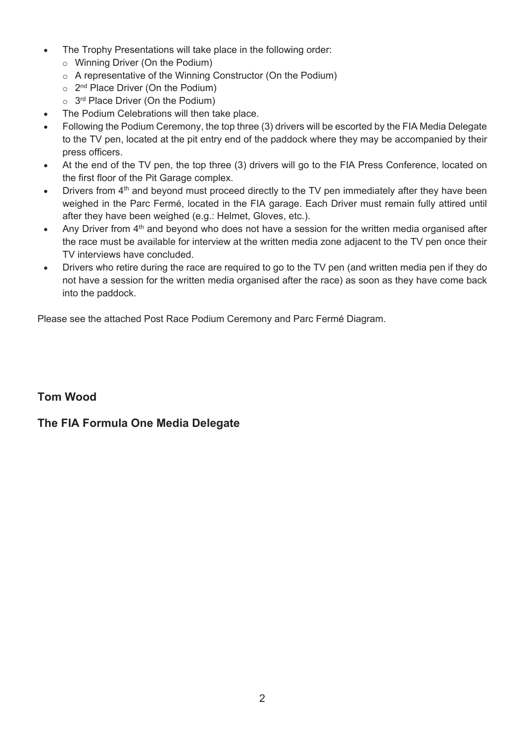- The Trophy Presentations will take place in the following order:
	- o Winning Driver (On the Podium)
	- o A representative of the Winning Constructor (On the Podium)
	- $\circ$  2<sup>nd</sup> Place Driver (On the Podium)
	- $\circ$  3<sup>rd</sup> Place Driver (On the Podium)
- The Podium Celebrations will then take place.
- Following the Podium Ceremony, the top three (3) drivers will be escorted by the FIA Media Delegate to the TV pen, located at the pit entry end of the paddock where they may be accompanied by their press officers.
- At the end of the TV pen, the top three (3) drivers will go to the FIA Press Conference, located on the first floor of the Pit Garage complex.
- Drivers from 4<sup>th</sup> and beyond must proceed directly to the TV pen immediately after they have been weighed in the Parc Fermé, located in the FIA garage. Each Driver must remain fully attired until after they have been weighed (e.g.: Helmet, Gloves, etc.).
- Any Driver from  $4<sup>th</sup>$  and beyond who does not have a session for the written media organised after the race must be available for interview at the written media zone adjacent to the TV pen once their TV interviews have concluded.
- Drivers who retire during the race are required to go to the TV pen (and written media pen if they do not have a session for the written media organised after the race) as soon as they have come back into the paddock.

Please see the attached Post Race Podium Ceremony and Parc Fermé Diagram.

### **Tom Wood**

### **The FIA Formula One Media Delegate**